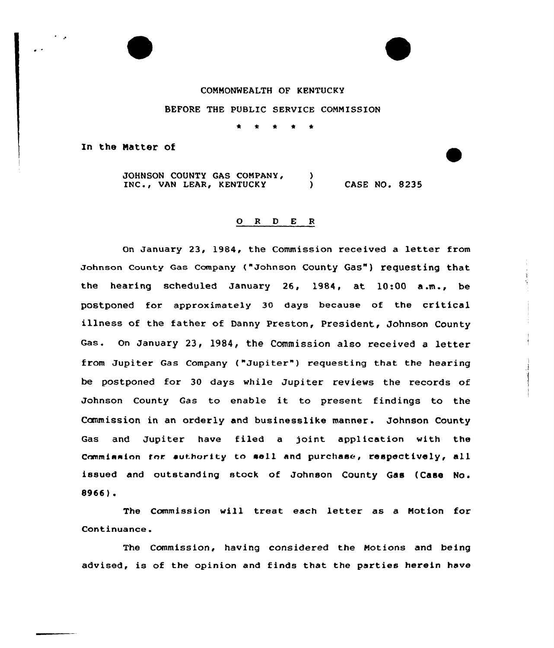

BEFORE THE PUBLIC SERVICE COMMISSION

 $\bullet$  $\bullet$  $\bullet$  $\rightarrow$ 

In the Matter of

JOHNSON COUNTY GAS COMPANY, -1 INC., VAN LEAR, KENTUCKY ) CASE NO. 8235

## 0 <sup>R</sup> <sup>D</sup> E <sup>R</sup>

On January 23, 1984, the Commission received a letter from Johnson county Gas company ("Johnson county Gas") requesting that the hearing scheduled January 26, l984, at 10:00 a .m., be postpaned far approximately 30 days because of the critical illness of the father of Danny Preston, President, Johnson County Gas. On January 23, 1984, the Commission also received a letter from Jupiter Gas Company ("Jupiter"} requesting that the hearing be postponed for 30 days while Jupiter reviews the records af Jahnson County Gas to enable it to present findings to the Commission in an orderly and businesslike manner. Johnson County Gas and Jupiter have filed <sup>a</sup> joint application with the Commiasion ter suthority to sell and purchase, respectively, all issued and autstanding stock of Johnson County Gas (Case No. 8966).

The Commission will treat each letter as <sup>a</sup> Motion for Continuance.

The Commission, having considered the Motions and being advised, is of the opinion and finds that the parties herein have